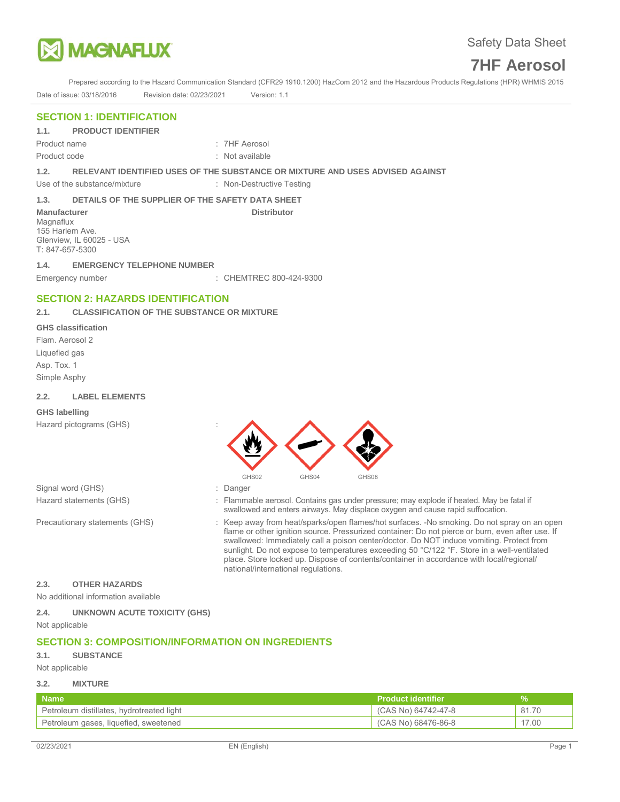

Prepared according to the Hazard Communication Standard (CFR29 1910.1200) HazCom 2012 and the Hazardous Products Regulations (HPR) WHMIS 2015 Date of issue: 03/18/2016 Revision date: 02/23/2021 Version: 1.1

## **SECTION 1: IDENTIFICATION**

**1.1. PRODUCT IDENTIFIER** 

Product code : Not available

Product name : 7HF Aerosol

**1.2. RELEVANT IDENTIFIED USES OF THE SUBSTANCE OR MIXTURE AND USES ADVISED AGAINST** 

Use of the substance/mixture : Non-Destructive Testing

## **1.3. DETAILS OF THE SUPPLIER OF THE SAFETY DATA SHEET**

**Manufacturer Community Community Community Community Distributor** Distributor Magnaflux 155 Harlem Ave. Glenview, IL 60025 - USA T: 847-657-5300

### **1.4. EMERGENCY TELEPHONE NUMBER**

Emergency number : CHEMTREC 800-424-9300

## **SECTION 2: HAZARDS IDENTIFICATION**

## **2.1. CLASSIFICATION OF THE SUBSTANCE OR MIXTURE**

#### **GHS classification**

Flam. Aerosol 2 Liquefied gas Asp. Tox. 1 Simple Asphy

### **2.2. LABEL ELEMENTS**

### **GHS labelling**

Hazard pictograms (GHS) :



Signal word (GHS)  $\qquad \qquad$ : Danger

- Hazard statements (GHS) : Flammable aerosol. Contains gas under pressure; may explode if heated. May be fatal if swallowed and enters airways. May displace oxygen and cause rapid suffocation.
- Precautionary statements (GHS) : Keep away from heat/sparks/open flames/hot surfaces. -No smoking. Do not spray on an open flame or other ignition source. Pressurized container: Do not pierce or burn, even after use. If swallowed: Immediately call a poison center/doctor. Do NOT induce vomiting. Protect from sunlight. Do not expose to temperatures exceeding 50 °C/122 °F. Store in a well-ventilated place. Store locked up. Dispose of contents/container in accordance with local/regional/ national/international regulations.

## **2.3. OTHER HAZARDS**

No additional information available

**2.4. UNKNOWN ACUTE TOXICITY (GHS)**  Not applicable

# **SECTION 3: COMPOSITION/INFORMATION ON INGREDIENTS**

## **3.1. SUBSTANCE**

Not applicable

## **3.2. MIXTURE**

| <b>Name</b>                               | <b>Product identifier</b> |       |
|-------------------------------------------|---------------------------|-------|
| Petroleum distillates, hydrotreated light | (CAS No) 64742-47-8       | 81.70 |
| Petroleum gases, liquefied, sweetened     | (CAS No) 68476-86-8       | 17.00 |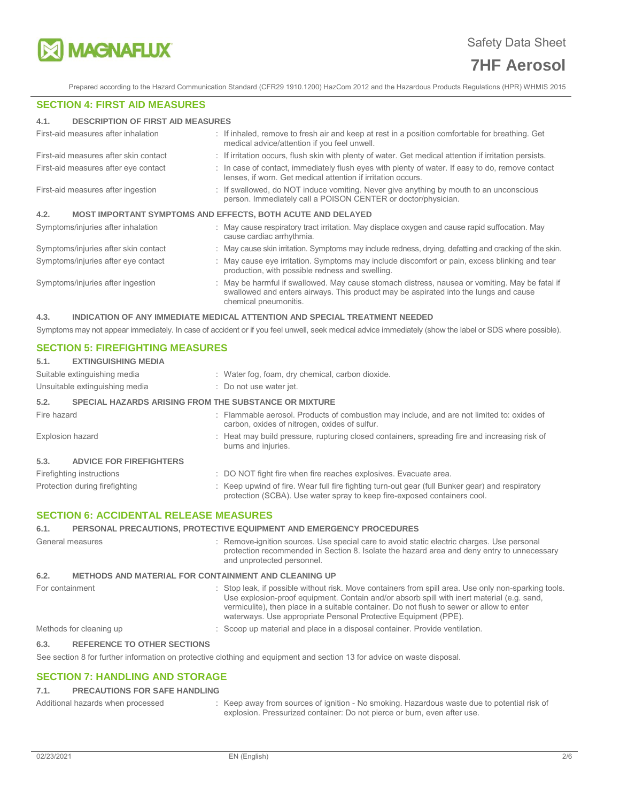

Prepared according to the Hazard Communication Standard (CFR29 1910.1200) HazCom 2012 and the Hazardous Products Regulations (HPR) WHMIS 2015

#### **SECTION 4: FIRST AID MEASURES**

#### **4.1. DESCRIPTION OF FIRST AID MEASURES**

| First-aid measures after inhalation   | : If inhaled, remove to fresh air and keep at rest in a position comfortable for breathing. Get<br>medical advice/attention if you feel unwell.                                                                 |
|---------------------------------------|-----------------------------------------------------------------------------------------------------------------------------------------------------------------------------------------------------------------|
| First-aid measures after skin contact | : If irritation occurs, flush skin with plenty of water. Get medical attention if irritation persists.                                                                                                          |
| First-aid measures after eye contact  | : In case of contact, immediately flush eyes with plenty of water. If easy to do, remove contact<br>lenses, if worn. Get medical attention if irritation occurs.                                                |
| First-aid measures after ingestion    | : If swallowed, do NOT induce vomiting. Never give anything by mouth to an unconscious<br>person. Immediately call a POISON CENTER or doctor/physician.                                                         |
| 4.2.                                  | <b>MOST IMPORTANT SYMPTOMS AND EFFECTS, BOTH ACUTE AND DELAYED</b>                                                                                                                                              |
| Symptoms/injuries after inhalation    | : May cause respiratory tract irritation. May displace oxygen and cause rapid suffocation. May<br>cause cardiac arrhythmia.                                                                                     |
| Symptoms/injuries after skin contact  | : May cause skin irritation. Symptoms may include redness, drying, defatting and cracking of the skin.                                                                                                          |
| Symptoms/injuries after eye contact   | : May cause eye irritation. Symptoms may include discomfort or pain, excess blinking and tear<br>production, with possible redness and swelling.                                                                |
| Symptoms/injuries after ingestion     | : May be harmful if swallowed. May cause stomach distress, nausea or vomiting. May be fatal if<br>swallowed and enters airways. This product may be aspirated into the lungs and cause<br>chemical pneumonitis. |

#### **4.3. INDICATION OF ANY IMMEDIATE MEDICAL ATTENTION AND SPECIAL TREATMENT NEEDED**

Symptoms may not appear immediately. In case of accident or if you feel unwell, seek medical advice immediately (show the label or SDS where possible).

## **SECTION 5: FIREFIGHTING MEASURES**

| 5.1.                                          | <b>EXTINGUISHING MEDIA</b>                                   |  |                                                                                                                                                                             |
|-----------------------------------------------|--------------------------------------------------------------|--|-----------------------------------------------------------------------------------------------------------------------------------------------------------------------------|
|                                               | Suitable extinguishing media                                 |  | : Water fog, foam, dry chemical, carbon dioxide.                                                                                                                            |
|                                               | Unsuitable extinguishing media                               |  | : Do not use water jet.                                                                                                                                                     |
| 5.2.                                          | <b>SPECIAL HAZARDS ARISING FROM THE SUBSTANCE OR MIXTURE</b> |  |                                                                                                                                                                             |
| Fire hazard                                   |                                                              |  | : Flammable aerosol. Products of combustion may include, and are not limited to: oxides of<br>carbon, oxides of nitrogen, oxides of sulfur.                                 |
| <b>Explosion hazard</b>                       |                                                              |  | : Heat may build pressure, rupturing closed containers, spreading fire and increasing risk of<br>burns and injuries.                                                        |
| 5.3.                                          | <b>ADVICE FOR FIREFIGHTERS</b>                               |  |                                                                                                                                                                             |
|                                               | Firefighting instructions                                    |  | : DO NOT fight fire when fire reaches explosives. Evacuate area.                                                                                                            |
|                                               | Protection during firefighting                               |  | : Keep upwind of fire. Wear full fire fighting turn-out gear (full Bunker gear) and respiratory<br>protection (SCBA). Use water spray to keep fire-exposed containers cool. |
| <b>SECTION 6: ACCIDENTAL RELEASE MEASURES</b> |                                                              |  |                                                                                                                                                                             |

### **SECTION 6: ACCIDENTAL RELEASE MEASURES**

#### **6.1. PERSONAL PRECAUTIONS, PROTECTIVE EQUIPMENT AND EMERGENCY PROCEDURES**

General measures **interpretation** : Remove-ignition sources. Use special care to avoid static electric charges. Use personal protection recommended in Section 8. Isolate the hazard area and deny entry to unnecessary and unprotected personnel. **6.2. METHODS AND MATERIAL FOR CONTAINMENT AND CLEANING UP**  For containment **interest and the state of the state of the state of the state of the state of the state of the state only non-sparking tools.** Stop leak, if possible without risk. Move containers from spill area. Use only Use explosion-proof equipment. Contain and/or absorb spill with inert material (e.g. sand, vermiculite), then place in a suitable container. Do not flush to sewer or allow to enter waterways. Use appropriate Personal Protective Equipment (PPE). Methods for cleaning up : Scoop up material and place in a disposal container. Provide ventilation.

#### **6.3. REFERENCE TO OTHER SECTIONS**

See section 8 for further information on protective clothing and equipment and section 13 for advice on waste disposal.

### **SECTION 7: HANDLING AND STORAGE**

#### **7.1. PRECAUTIONS FOR SAFE HANDLING**

| Additional hazards when processed | Keep away from sources of ignition - No smoking. Hazardous waste due to potential risk of |
|-----------------------------------|-------------------------------------------------------------------------------------------|
|                                   | explosion. Pressurized container: Do not pierce or burn, even after use.                  |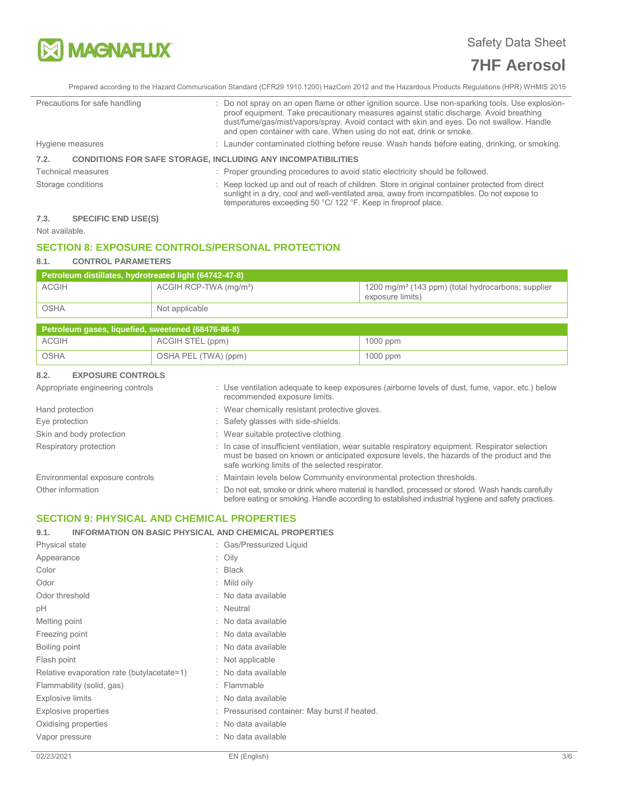

Prepared according to the Hazard Communication Standard (CFR29 1910.1200) HazCom 2012 and the Hazardous Products Regulations (HPR) WHMIS 2015

temperatures exceeding 50 °C/ 122 °F. Keep in fireproof place.

| Precautions for safe handling                                               | : Do not spray on an open flame or other ignition source. Use non-sparking tools. Use explosion-<br>proof equipment. Take precautionary measures against static discharge. Avoid breathing<br>dust/fume/gas/mist/vapors/spray. Avoid contact with skin and eyes. Do not swallow. Handle<br>and open container with care. When using do not eat, drink or smoke. |
|-----------------------------------------------------------------------------|-----------------------------------------------------------------------------------------------------------------------------------------------------------------------------------------------------------------------------------------------------------------------------------------------------------------------------------------------------------------|
| Hygiene measures                                                            | : Launder contaminated clothing before reuse. Wash hands before eating, drinking, or smoking.                                                                                                                                                                                                                                                                   |
| <b>CONDITIONS FOR SAFE STORAGE, INCLUDING ANY INCOMPATIBILITIES</b><br>7.2. |                                                                                                                                                                                                                                                                                                                                                                 |
| <b>Technical measures</b>                                                   | : Proper grounding procedures to avoid static electricity should be followed.                                                                                                                                                                                                                                                                                   |
| Storage conditions                                                          | : Keep locked up and out of reach of children. Store in original container protected from direct<br>sunlight in a dry, cool and well-ventilated area, away from incompatibles. Do not expose to                                                                                                                                                                 |

## **7.3. SPECIFIC END USE(S)**

Not available.

# **SECTION 8: EXPOSURE CONTROLS/PERSONAL PROTECTION**

## **8.1. CONTROL PARAMETERS**

| Petroleum distillates, hydrotreated light (64742-47-8) |                                    |                                                                                    |  |  |
|--------------------------------------------------------|------------------------------------|------------------------------------------------------------------------------------|--|--|
| <b>ACGIH</b>                                           | ACGIH RCP-TWA (mg/m <sup>3</sup> ) | 1200 mg/m <sup>3</sup> (143 ppm) (total hydrocarbons; supplier<br>exposure limits) |  |  |
| OSHA                                                   | Not applicable                     |                                                                                    |  |  |

| Petroleum gases, liquefied, sweetened (68476-86-8) |                      |            |  |  |
|----------------------------------------------------|----------------------|------------|--|--|
| ACGIH                                              | ACGIH STEL (ppm)     | $1000$ ppm |  |  |
| OSHA                                               | OSHA PEL (TWA) (ppm) | $1000$ ppm |  |  |

## **8.2. EXPOSURE CONTROLS**

| Appropriate engineering controls | : Use ventilation adequate to keep exposures (airborne levels of dust, fume, vapor, etc.) below<br>recommended exposure limits.                                                                                                                  |
|----------------------------------|--------------------------------------------------------------------------------------------------------------------------------------------------------------------------------------------------------------------------------------------------|
| Hand protection                  | : Wear chemically resistant protective gloves.                                                                                                                                                                                                   |
| Eye protection                   | : Safety glasses with side-shields.                                                                                                                                                                                                              |
| Skin and body protection         | : Wear suitable protective clothing.                                                                                                                                                                                                             |
| Respiratory protection           | : In case of insufficient ventilation, wear suitable respiratory equipment. Respirator selection<br>must be based on known or anticipated exposure levels, the hazards of the product and the<br>safe working limits of the selected respirator. |
| Environmental exposure controls  | : Maintain levels below Community environmental protection thresholds.                                                                                                                                                                           |
| Other information                | : Do not eat, smoke or drink where material is handled, processed or stored. Wash hands carefully<br>before eating or smoking. Handle according to established industrial hygiene and safety practices.                                          |

## **SECTION 9: PHYSICAL AND CHEMICAL PROPERTIES**

## **9.1. INFORMATION ON BASIC PHYSICAL AND CHEMICAL PROPERTIES**

| Physical state                             | : Gas/Pressurized Liquid                      |
|--------------------------------------------|-----------------------------------------------|
| Appearance                                 | : Oily                                        |
| Color                                      | $:$ Black                                     |
| Odor                                       | $:$ Mild oily                                 |
| Odor threshold                             | : No data available                           |
| рH                                         | : Neutral                                     |
| Melting point                              | : No data available                           |
| Freezing point                             | : No data available                           |
| Boiling point                              | : No data available                           |
| Flash point                                | : Not applicable                              |
| Relative evaporation rate (butylacetate=1) | : No data available                           |
| Flammability (solid, gas)                  | : Flammable                                   |
| <b>Explosive limits</b>                    | : No data available                           |
| Explosive properties                       | : Pressurised container: May burst if heated. |
| Oxidising properties                       | : No data available                           |
| Vapor pressure                             | : No data available                           |
|                                            |                                               |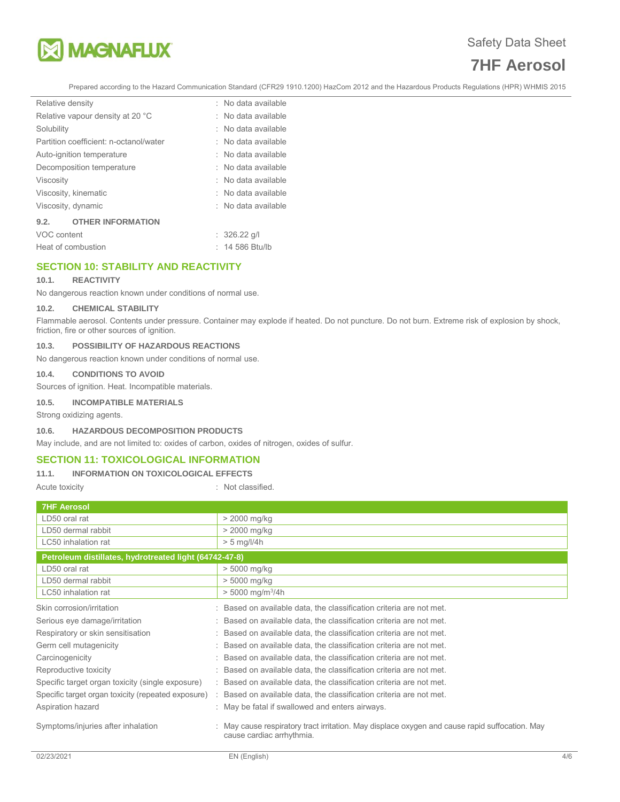

Prepared according to the Hazard Communication Standard (CFR29 1910.1200) HazCom 2012 and the Hazardous Products Regulations (HPR) WHMIS 2015

| Relative density   |                                        | : No data available |
|--------------------|----------------------------------------|---------------------|
|                    | Relative vapour density at 20 °C       | : No data available |
| Solubility         |                                        | : No data available |
|                    | Partition coefficient: n-octanol/water | : No data available |
|                    | Auto-ignition temperature              | : No data available |
|                    | Decomposition temperature              | : No data available |
| Viscosity          |                                        | : No data available |
|                    | Viscosity, kinematic                   | : No data available |
| Viscosity, dynamic |                                        | : No data available |
| 9.2.               | <b>OTHER INFORMATION</b>               |                     |
| $1100$ contant     |                                        | .0000011            |

| VOC content        | $: 326.22$ g/l  |
|--------------------|-----------------|
| Heat of combustion | : 14 586 Btu/lb |

# **SECTION 10: STABILITY AND REACTIVITY**

#### **10.1. REACTIVITY**

No dangerous reaction known under conditions of normal use.

#### **10.2. CHEMICAL STABILITY**

Flammable aerosol. Contents under pressure. Container may explode if heated. Do not puncture. Do not burn. Extreme risk of explosion by shock, friction, fire or other sources of ignition.

### **10.3. POSSIBILITY OF HAZARDOUS REACTIONS**

No dangerous reaction known under conditions of normal use.

#### **10.4. CONDITIONS TO AVOID**

Sources of ignition. Heat. Incompatible materials.

#### **10.5. INCOMPATIBLE MATERIALS**

Strong oxidizing agents.

#### **10.6. HAZARDOUS DECOMPOSITION PRODUCTS**

May include, and are not limited to: oxides of carbon, oxides of nitrogen, oxides of sulfur.

## **SECTION 11: TOXICOLOGICAL INFORMATION**

#### **11.1. INFORMATION ON TOXICOLOGICAL EFFECTS**

Acute toxicity **in the case of the Case of the Case of the Case of the Case of the Case of the Case of the Case of the Case of the Case of the Case of the Case of the Case of the Case of the Case of the Case of the Case of** 

| <b>7HF Aerosol</b>                                     |                                                                                                                           |
|--------------------------------------------------------|---------------------------------------------------------------------------------------------------------------------------|
| LD50 oral rat                                          | $>$ 2000 mg/kg                                                                                                            |
| LD50 dermal rabbit                                     | > 2000 mg/kg                                                                                                              |
| LC50 inhalation rat                                    | $> 5$ mg/l/4h                                                                                                             |
| Petroleum distillates, hydrotreated light (64742-47-8) |                                                                                                                           |
| LD50 oral rat                                          | $> 5000$ mg/kg                                                                                                            |
| LD50 dermal rabbit                                     | > 5000 mg/kg                                                                                                              |
| LC50 inhalation rat                                    | $> 5000$ mg/m <sup>3</sup> /4h                                                                                            |
| Skin corrosion/irritation                              | Based on available data, the classification criteria are not met.                                                         |
| Serious eye damage/irritation                          | Based on available data, the classification criteria are not met.                                                         |
| Respiratory or skin sensitisation                      | Based on available data, the classification criteria are not met.                                                         |
| Germ cell mutagenicity                                 | Based on available data, the classification criteria are not met.                                                         |
| Carcinogenicity                                        | Based on available data, the classification criteria are not met.                                                         |
| Reproductive toxicity                                  | Based on available data, the classification criteria are not met.                                                         |
| Specific target organ toxicity (single exposure)       | Based on available data, the classification criteria are not met.                                                         |
| Specific target organ toxicity (repeated exposure)     | Based on available data, the classification criteria are not met.                                                         |
| Aspiration hazard                                      | : May be fatal if swallowed and enters airways.                                                                           |
| Symptoms/injuries after inhalation                     | May cause respiratory tract irritation. May displace oxygen and cause rapid suffocation. May<br>cause cardiac arrhythmia. |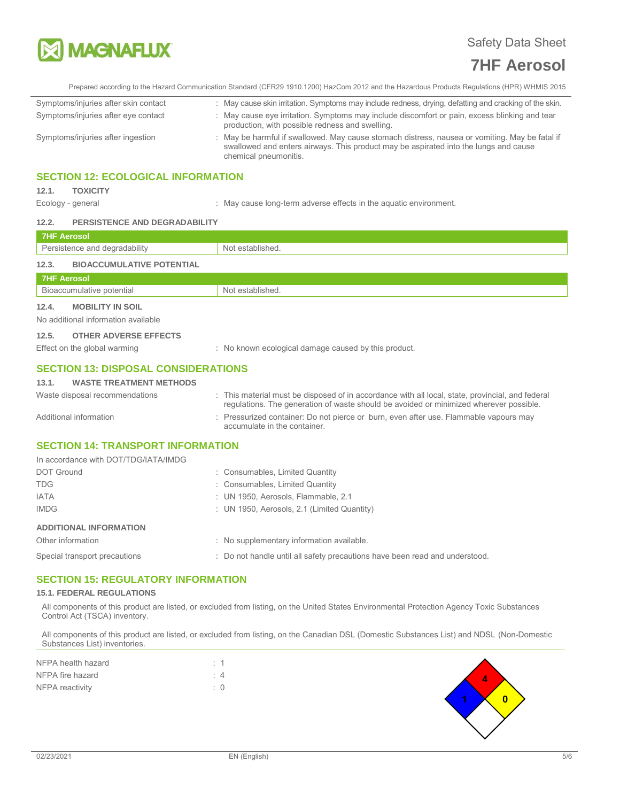

Prepared according to the Hazard Communication Standard (CFR29 1910.1200) HazCom 2012 and the Hazardous Products Regulations (HPR) WHMIS 2015

| Symptoms/injuries after skin contact | : May cause skin irritation. Symptoms may include redness, drying, defatting and cracking of the skin.                                                                                                          |
|--------------------------------------|-----------------------------------------------------------------------------------------------------------------------------------------------------------------------------------------------------------------|
| Symptoms/injuries after eye contact  | : May cause eye irritation. Symptoms may include discomfort or pain, excess blinking and tear<br>production, with possible redness and swelling.                                                                |
| Symptoms/injuries after ingestion    | : May be harmful if swallowed. May cause stomach distress, nausea or vomiting. May be fatal if<br>swallowed and enters airways. This product may be aspirated into the lungs and cause<br>chemical pneumonitis. |

## **SECTION 12: ECOLOGICAL INFORMATION**

### **12.1. TOXICITY**

Ecology - general interest in the aquatic environment. Surface in the aquatic environment.

#### **12.2. PERSISTENCE AND DEGRADABILITY**

| 7HF Aerosol                               |                  |
|-------------------------------------------|------------------|
| Persistence and degradability             | Not established. |
| 12.3.<br><b>BIOACCUMULATIVE POTENTIAL</b> |                  |
| 7HF Aerosol                               |                  |
| Bioaccumulative potential                 | Not established. |
| 12.4.<br><b>MOBILITY IN SOIL</b>          |                  |

No additional information available

## **12.5. OTHER ADVERSE EFFECTS**

Effect on the global warming : No known ecological damage caused by this product.

## **SECTION 13: DISPOSAL CONSIDERATIONS**

| <b>WASTE TREATMENT METHODS</b><br>13.1. |
|-----------------------------------------|
|-----------------------------------------|

| Waste disposal recommendations                                         | : This material must be disposed of in accordance with all local, state, provincial, and federal<br>regulations. The generation of waste should be avoided or minimized wherever possible. |
|------------------------------------------------------------------------|--------------------------------------------------------------------------------------------------------------------------------------------------------------------------------------------|
| Additional information                                                 | : Pressurized container: Do not pierce or burn, even after use. Flammable vapours may<br>accumulate in the container.                                                                      |
| <b>SECTION 14: TRANSPORT INFORMATION</b>                               |                                                                                                                                                                                            |
| $\mu$ coordense with $\text{DT}$ $\text{TDQ}$ $\mu$ $\text{ATM}$ $\mu$ |                                                                                                                                                                                            |

| In accordance with DOT/TDG/IATA/IMDG |                                                                             |
|--------------------------------------|-----------------------------------------------------------------------------|
| <b>DOT Ground</b>                    | : Consumables, Limited Quantity                                             |
| <b>TDG</b>                           | : Consumables, Limited Quantity                                             |
| <b>IATA</b>                          | : UN 1950, Aerosols, Flammable, 2.1                                         |
| <b>IMDG</b>                          | : UN 1950, Aerosols, 2.1 (Limited Quantity)                                 |
| <b>ADDITIONAL INFORMATION</b>        |                                                                             |
| Other information                    | : No supplementary information available.                                   |
| Special transport precautions        | : Do not handle until all safety precautions have been read and understood. |

## **SECTION 15: REGULATORY INFORMATION**

#### **15.1. FEDERAL REGULATIONS**

All components of this product are listed, or excluded from listing, on the United States Environmental Protection Agency Toxic Substances Control Act (TSCA) inventory.

All components of this product are listed, or excluded from listing, on the Canadian DSL (Domestic Substances List) and NDSL (Non-Domestic Substances List) inventories.

| NFPA health hazard | $\cdot$ 1   |  |
|--------------------|-------------|--|
| NFPA fire hazard   | $4^{\circ}$ |  |
| NFPA reactivity    | $\cdot$ 0   |  |